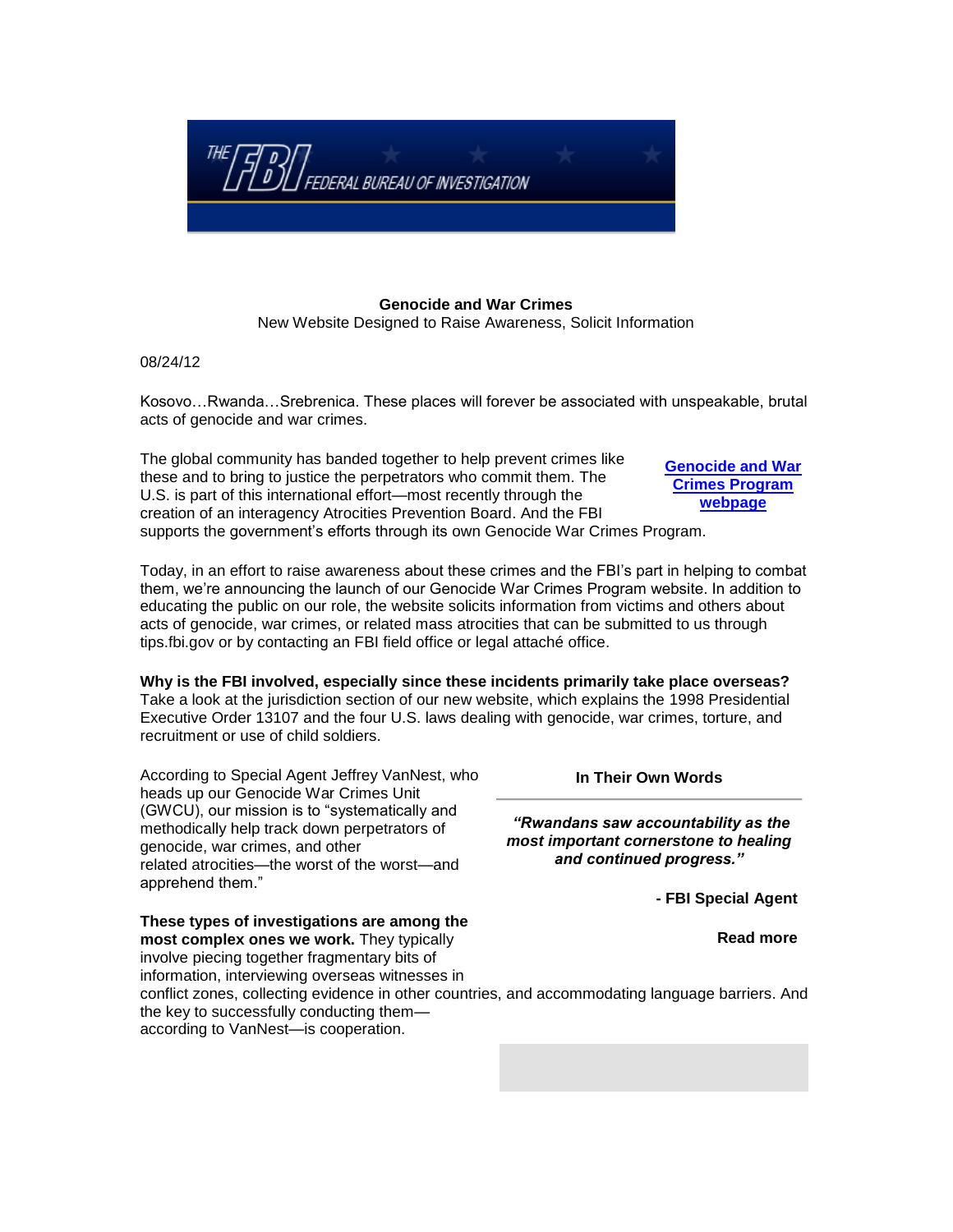

## **Genocide and War Crimes** New Website Designed to Raise Awareness, Solicit Information

08/24/12

Kosovo…Rwanda…Srebrenica. These places will forever be associated with unspeakable, brutal acts of genocide and war crimes.

The global community has banded together to help prevent crimes like these and to bring to justice the perpetrators who commit them. The U.S. is part of this international effort—most recently through the creation of an interagency [Atrocities Prevention Board.](http://www.whitehouse.gov/the-press-office/2011/08/04/presidential-study-directive-mass-atrocities) And the FBI supports the government's efforts through its own Genocide War Crimes Program. **[Genocide and War](http://www.fbi.gov/about-us/investigate/terrorism/genocide-and-war-crimes-program)  [Crimes Program](http://www.fbi.gov/about-us/investigate/terrorism/genocide-and-war-crimes-program)** 

Today, in an effort to raise awareness about these crimes and the FBI's part in helping to combat them, we're announcing the launch of our Genocide War Crimes Program website. In addition to educating the public on our role, the website solicits information from victims and others about acts of genocide, war crimes, or related mass atrocities that can be submitted to us through [tips.fbi.gov](https://tips.fbi.gov/) or by contacting an [FBI field office](http://www.fbi.gov/contact-us/field) or [legal attaché office.](http://www.fbi.gov/contact-us/legat)

**Why is the FBI involved, especially since these incidents primarily take place overseas?** Take a look at the jurisdiction section of our new website, which explains the [1998 Presidential](http://www.gpo.gov/fdsys/pkg/FR-1998-12-15/pdf/98-33348.pdf)  [Executive Order 13107](http://www.gpo.gov/fdsys/pkg/FR-1998-12-15/pdf/98-33348.pdf) and the four U.S. laws dealing with genocide, war crimes, torture, and recruitment or use of child soldiers.

According to Special Agent Jeffrey VanNest, who heads up our Genocide War Crimes Unit (GWCU), our mission is to "systematically and methodically help track down perpetrators of genocide, war crimes, and other related atrocities—the worst of the worst—and apprehend them."

**In Their Own Words**

*"Rwandans saw accountability as the most important cornerstone to healing and continued progress."*

**- FBI Special Agent**

**[webpage](http://www.fbi.gov/about-us/investigate/terrorism/genocide-and-war-crimes-program)**

**These types of investigations are among the most complex ones we work.** They typically involve piecing together fragmentary bits of information, interviewing overseas witnesses in conflict zones, collecting evidence in other countries, and accommodating language barriers. And the key to successfully conducting them according to VanNest—is cooperation. **[Read more](http://www.fbi.gov/news/stories/2012/august/new-genocide-and-war-crimes-website/new-genocide-and-war-crimes-website/new-genocide-and-war-crimes-website/new-genocide-and-war-crimes-website/new-genocide-and-war-crimes-website/new-genocide-and-war-crimes-website/resolveuid/7eec53a2-df44-464d-9617-b17f52ad28cb)**